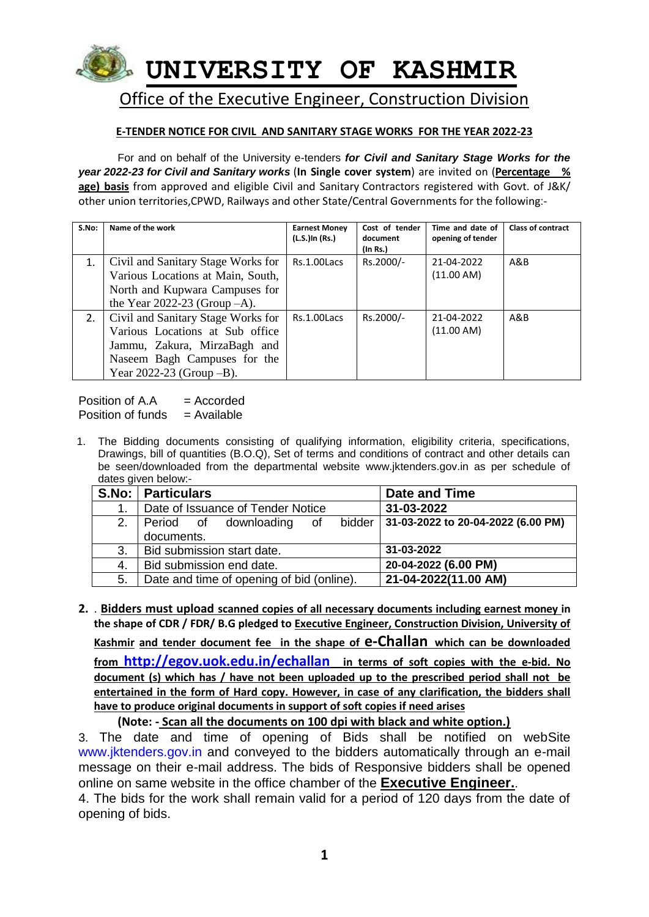

# Office of the Executive Engineer, Construction Division

### **E-TENDER NOTICE FOR CIVIL AND SANITARY STAGE WORKS FOR THE YEAR 2022-23**

For and on behalf of the University e-tenders *for Civil and Sanitary Stage Works for the year 2022-23 for Civil and Sanitary works* (**In Single cover system**) are invited on (**Percentage % age) basis** from approved and eligible Civil and Sanitary Contractors registered with Govt. of J&K/ other union territories,CPWD, Railways and other State/Central Governments for the following:-

| S.No: | Name of the work                                                                                                                                                       | <b>Earnest Money</b><br>(L.S.)In (Rs.) | Cost of tender<br>document<br>(In Rs.) | Time and date of<br>opening of tender | <b>Class of contract</b> |
|-------|------------------------------------------------------------------------------------------------------------------------------------------------------------------------|----------------------------------------|----------------------------------------|---------------------------------------|--------------------------|
| 1.    | Civil and Sanitary Stage Works for<br>Various Locations at Main, South,<br>North and Kupwara Campuses for                                                              | Rs.1.00Lacs                            | Rs.2000/-                              | 21-04-2022<br>(11.00 AM)              | A&B                      |
|       | the Year 2022-23 (Group $-A$ ).                                                                                                                                        |                                        |                                        |                                       |                          |
| 2.    | Civil and Sanitary Stage Works for<br>Various Locations at Sub office<br>Jammu, Zakura, MirzaBagh and<br>Naseem Bagh Campuses for the<br>Year $2022-23$ (Group $-B$ ). | Rs.1.00Lacs                            | Rs.2000/-                              | 21-04-2022<br>(11.00 AM)              | A&B                      |

Position of  $A \cdot A$  = Accorded Position of funds  $=$  Available

1. The Bidding documents consisting of qualifying information, eligibility criteria, specifications, Drawings, bill of quantities (B.O.Q), Set of terms and conditions of contract and other details can be seen/downloaded from the departmental website www.jktenders.gov.in as per schedule of dates given below:-

|    | S.No:   Particulars                       | Date and Time                      |  |  |  |  |
|----|-------------------------------------------|------------------------------------|--|--|--|--|
|    | Date of Issuance of Tender Notice         | 31-03-2022                         |  |  |  |  |
| 2. | bidder<br>Period of downloading of        | 31-03-2022 to 20-04-2022 (6.00 PM) |  |  |  |  |
|    | documents.                                |                                    |  |  |  |  |
| 3. | Bid submission start date.                | 31-03-2022                         |  |  |  |  |
| 4. | Bid submission end date.                  | 20-04-2022 (6.00 PM)               |  |  |  |  |
| 5. | Date and time of opening of bid (online). | 21-04-2022(11.00 AM)               |  |  |  |  |

**2.** . **Bidders must upload scanned copies of all necessary documents including earnest money in the shape of CDR / FDR/ B.G pledged to Executive Engineer, Construction Division, University of Kashmir and tender document fee in the shape of e-Challan which can be downloaded from <http://egov.uok.edu.in/echallan> in terms of soft copies with the e-bid. No document (s) which has / have not been uploaded up to the prescribed period shall not be entertained in the form of Hard copy. However, in case of any clarification, the bidders shall have to produce original documents in support of soft copies if need arises**

### **(Note: - Scan all the documents on 100 dpi with black and white option.)**

3. The date and time of opening of Bids shall be notified on webSite www.jktenders.gov.in and conveyed to the bidders automatically through an e-mail message on their e-mail address. The bids of Responsive bidders shall be opened online on same website in the office chamber of the **Executive Engineer.**.

4. The bids for the work shall remain valid for a period of 120 days from the date of opening of bids.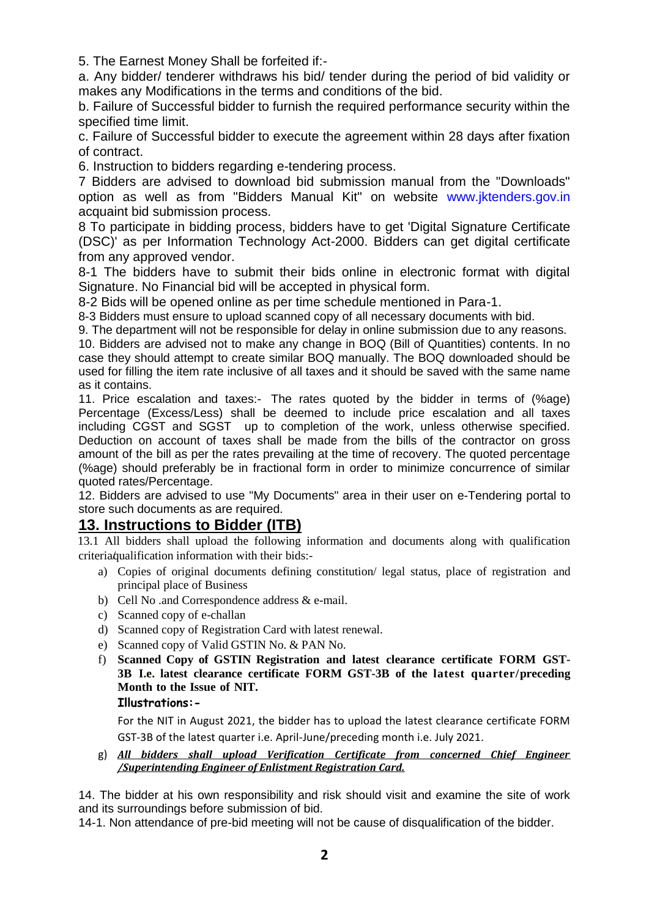5. The Earnest Money Shall be forfeited if:-

a. Any bidder/ tenderer withdraws his bid/ tender during the period of bid validity or makes any Modifications in the terms and conditions of the bid.

b. Failure of Successful bidder to furnish the required performance security within the specified time limit.

c. Failure of Successful bidder to execute the agreement within 28 days after fixation of contract.

6. Instruction to bidders regarding e-tendering process.

7 Bidders are advised to download bid submission manual from the "Downloads" option as well as from "Bidders Manual Kit" on website www.jktenders.gov.in acquaint bid submission process.

8 To participate in bidding process, bidders have to get 'Digital Signature Certificate (DSC)' as per Information Technology Act-2000. Bidders can get digital certificate from any approved vendor.

8-1 The bidders have to submit their bids online in electronic format with digital Signature. No Financial bid will be accepted in physical form.

8-2 Bids will be opened online as per time schedule mentioned in Para-1.

8-3 Bidders must ensure to upload scanned copy of all necessary documents with bid.

9. The department will not be responsible for delay in online submission due to any reasons.

10. Bidders are advised not to make any change in BOQ (Bill of Quantities) contents. In no case they should attempt to create similar BOQ manually. The BOQ downloaded should be used for filling the item rate inclusive of all taxes and it should be saved with the same name as it contains.

11. Price escalation and taxes:- The rates quoted by the bidder in terms of (%age) Percentage (Excess/Less) shall be deemed to include price escalation and all taxes including CGST and SGST up to completion of the work, unless otherwise specified. Deduction on account of taxes shall be made from the bills of the contractor on gross amount of the bill as per the rates prevailing at the time of recovery. The quoted percentage (%age) should preferably be in fractional form in order to minimize concurrence of similar quoted rates/Percentage.

12. Bidders are advised to use "My Documents" area in their user on e-Tendering portal to store such documents as are required.

# **13. Instructions to Bidder (ITB)**

13.1 All bidders shall upload the following information and documents along with qualification criteria qualification information with their bids:-

- a) Copies of original documents defining constitution/ legal status, place of registration and principal place of Business
- b) Cell No .and Correspondence address & e-mail.
- c) Scanned copy of e-challan
- d) Scanned copy of Registration Card with latest renewal.
- e) Scanned copy of Valid GSTIN No. & PAN No.
- f) **Scanned Copy of GSTIN Registration and latest clearance certificate FORM GST-3B I.e. latest clearance certificate FORM GST-3B of the latest quarter/preceding Month to the Issue of NIT.**

### **Illustrations:-**

For the NIT in August 2021, the bidder has to upload the latest clearance certificate FORM GST-3B of the latest quarter i.e. April-June/preceding month i.e. July 2021.

g) *All bidders shall upload Verification Certificate from concerned Chief Engineer /Superintending Engineer of Enlistment Registration Card.*

14. The bidder at his own responsibility and risk should visit and examine the site of work and its surroundings before submission of bid.

14-1. Non attendance of pre-bid meeting will not be cause of disqualification of the bidder.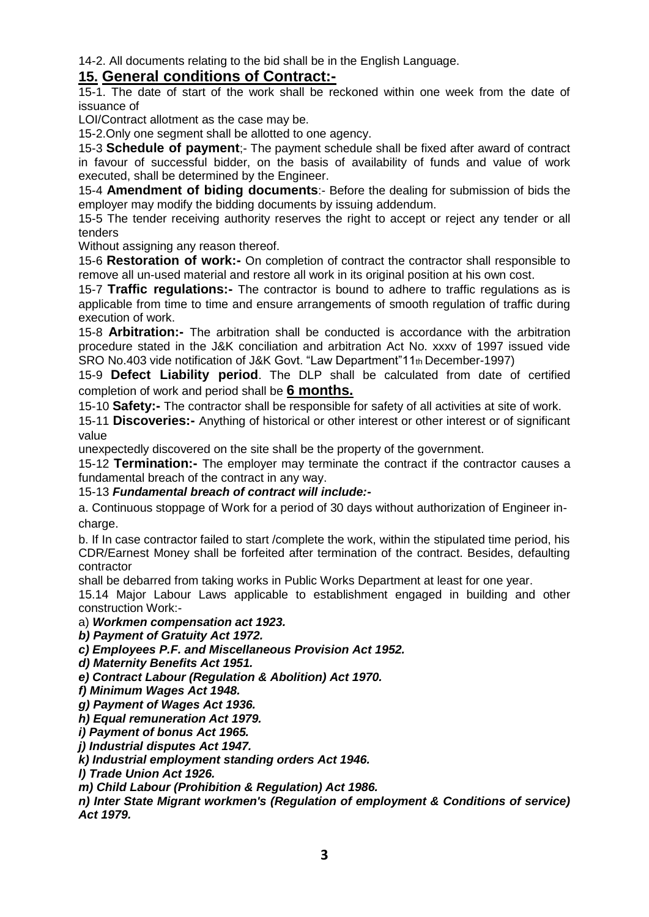14-2. All documents relating to the bid shall be in the English Language.

## **15. General conditions of Contract:-**

15-1. The date of start of the work shall be reckoned within one week from the date of issuance of

LOI/Contract allotment as the case may be.

15-2.Only one segment shall be allotted to one agency.

15-3 **Schedule of payment**;- The payment schedule shall be fixed after award of contract in favour of successful bidder, on the basis of availability of funds and value of work executed, shall be determined by the Engineer.

15-4 **Amendment of biding documents**:- Before the dealing for submission of bids the employer may modify the bidding documents by issuing addendum.

15-5 The tender receiving authority reserves the right to accept or reject any tender or all tenders

Without assigning any reason thereof.

15-6 **Restoration of work:-** On completion of contract the contractor shall responsible to remove all un-used material and restore all work in its original position at his own cost.

15-7 **Traffic regulations:-** The contractor is bound to adhere to traffic regulations as is applicable from time to time and ensure arrangements of smooth regulation of traffic during execution of work.

15-8 **Arbitration:-** The arbitration shall be conducted is accordance with the arbitration procedure stated in the J&K conciliation and arbitration Act No. xxxv of 1997 issued vide SRO No.403 vide notification of J&K Govt. "Law Department"11th December-1997)

15-9 **Defect Liability period**. The DLP shall be calculated from date of certified completion of work and period shall be **6 months.**

15-10 **Safety:-** The contractor shall be responsible for safety of all activities at site of work.

15-11 **Discoveries:-** Anything of historical or other interest or other interest or of significant value

unexpectedly discovered on the site shall be the property of the government.

15-12 **Termination:-** The employer may terminate the contract if the contractor causes a fundamental breach of the contract in any way.

#### 15-13 *Fundamental breach of contract will include:-*

a. Continuous stoppage of Work for a period of 30 days without authorization of Engineer incharge.

b. If In case contractor failed to start /complete the work, within the stipulated time period, his CDR/Earnest Money shall be forfeited after termination of the contract. Besides, defaulting contractor

shall be debarred from taking works in Public Works Department at least for one year.

15.14 Major Labour Laws applicable to establishment engaged in building and other construction Work:-

a) *Workmen compensation act 1923.*

*b) Payment of Gratuity Act 1972.*

*c) Employees P.F. and Miscellaneous Provision Act 1952.*

*d) Maternity Benefits Act 1951.*

*e) Contract Labour (Regulation & Abolition) Act 1970.*

*f) Minimum Wages Act 1948.*

*g) Payment of Wages Act 1936.*

*h) Equal remuneration Act 1979.*

*i) Payment of bonus Act 1965.*

*j) Industrial disputes Act 1947.*

*k) Industrial employment standing orders Act 1946.*

*l) Trade Union Act 1926.*

*m) Child Labour (Prohibition & Regulation) Act 1986.*

*n) Inter State Migrant workmen's (Regulation of employment & Conditions of service) Act 1979.*